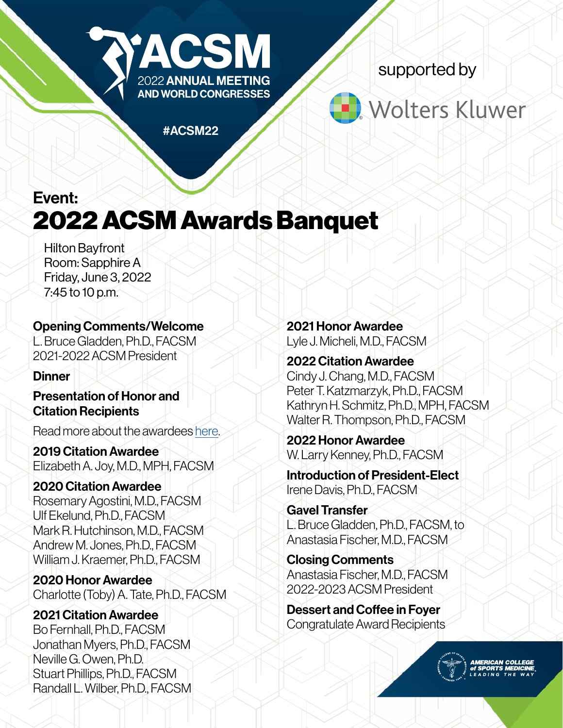

supported by

# Wolters Kluwer

#ACSM22

Event: 2022 ACSM Awards Banquet

Hilton Bayfront Room: Sapphire A Friday, June 3, 2022 7:45 to 10 p.m.

### Opening Comments/Welcome

L. Bruce Gladden, Ph.D., FACSM 2021-2022 ACSM President

#### **Dinner**

Presentation of Honor and Citation Recipients

Read more about the awardees [here](https://www.acsm.org/annual-meeting/awards).

2019 Citation Awardee Elizabeth A. Joy, M.D., MPH, FACSM

2020 Citation Awardee Rosemary Agostini, M.D., FACSM Ulf Ekelund, Ph.D., FACSM Mark R. Hutchinson, M.D., FACSM Andrew M. Jones, Ph.D., FACSM William J. Kraemer, Ph.D., FACSM

2020 Honor Awardee Charlotte (Toby) A. Tate, Ph.D., FACSM

2021 Citation Awardee Bo Fernhall, Ph.D., FACSM Jonathan Myers, Ph.D., FACSM Neville G. Owen, Ph.D. Stuart Phillips, Ph.D., FACSM Randall L. Wilber, Ph.D., FACSM 2021 Honor Awardee Lyle J. Micheli, M.D., FACSM

2022 Citation Awardee Cindy J. Chang, M.D., FACSM Peter T. Katzmarzyk, Ph.D., FACSM Kathryn H. Schmitz, Ph.D., MPH, FACSM Walter R. Thompson, Ph.D., FACSM

2022 Honor Awardee W. Larry Kenney, Ph.D., FACSM

Introduction of President-Elect Irene Davis, Ph.D., FACSM

Gavel Transfer L. Bruce Gladden, Ph.D., FACSM, to Anastasia Fischer, M.D., FACSM

Closing Comments Anastasia Fischer, M.D., FACSM 2022-2023 ACSM President

Dessert and Coffee in Foyer Congratulate Award Recipients